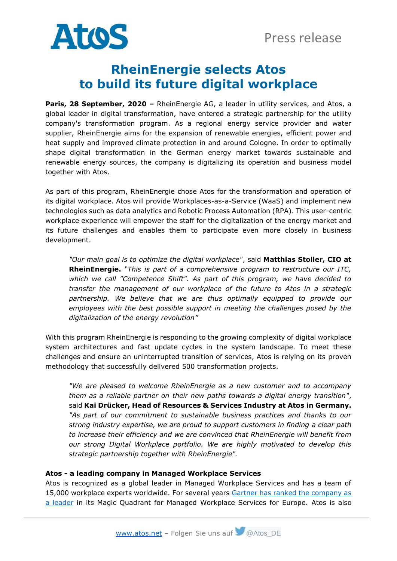

## **RheinEnergie selects Atos to build its future digital workplace**

**Paris, 28 September, 2020 –** RheinEnergie AG, a leader in utility services, and Atos, a global leader in digital transformation, have entered a strategic partnership for the utility company's transformation program. As a regional energy service provider and water supplier, RheinEnergie aims for the expansion of renewable energies, efficient power and heat supply and improved climate protection in and around Cologne. In order to optimally shape digital transformation in the German energy market towards sustainable and renewable energy sources, the company is digitalizing its operation and business model together with Atos.

As part of this program, RheinEnergie chose Atos for the transformation and operation of its digital workplace. Atos will provide Workplaces-as-a-Service (WaaS) and implement new technologies such as data analytics and Robotic Process Automation (RPA). This user-centric workplace experience will empower the staff for the digitalization of the energy market and its future challenges and enables them to participate even more closely in business development.

*"Our main goal is to optimize the digital workplace"*, said **Matthias Stoller, CIO at RheinEnergie.** *"This is part of a comprehensive program to restructure our ITC, which we call "Competence Shift". As part of this program, we have decided to transfer the management of our workplace of the future to Atos in a strategic*  partnership. We believe that we are thus optimally equipped to provide our *employees with the best possible support in meeting the challenges posed by the digitalization of the energy revolution"*

With this program RheinEnergie is responding to the growing complexity of digital workplace system architectures and fast update cycles in the system landscape. To meet these challenges and ensure an uninterrupted transition of services, Atos is relying on its proven methodology that successfully delivered 500 transformation projects.

*"We are pleased to welcome RheinEnergie as a new customer and to accompany them as a reliable partner on their new paths towards a digital energy transition"*, said **Kai Drücker, Head of Resources & Services Industry at Atos in Germany.** *"As part of our commitment to sustainable business practices and thanks to our strong industry expertise, we are proud to support customers in finding a clear path to increase their efficiency and we are convinced that RheinEnergie will benefit from our strong Digital Workplace portfolio. We are highly motivated to develop this strategic partnership together with RheinEnergie".* 

## **Atos - a leading company in Managed Workplace Services**

Atos is recognized as a global leader in Managed Workplace Services and has a team of 15,000 workplace experts worldwide. For several years [Gartner has ranked the company as](https://atos.net/en/2020/press-release_2020_03_10/atos-positioned-as-a-leader-in-2020-gartner-magic-quadrant-for-managed-workplace-services-in-both-europe-and-north-america)  [a leader](https://atos.net/en/2020/press-release_2020_03_10/atos-positioned-as-a-leader-in-2020-gartner-magic-quadrant-for-managed-workplace-services-in-both-europe-and-north-america) in its Magic Quadrant for Managed Workplace Services for Europe. Atos is also